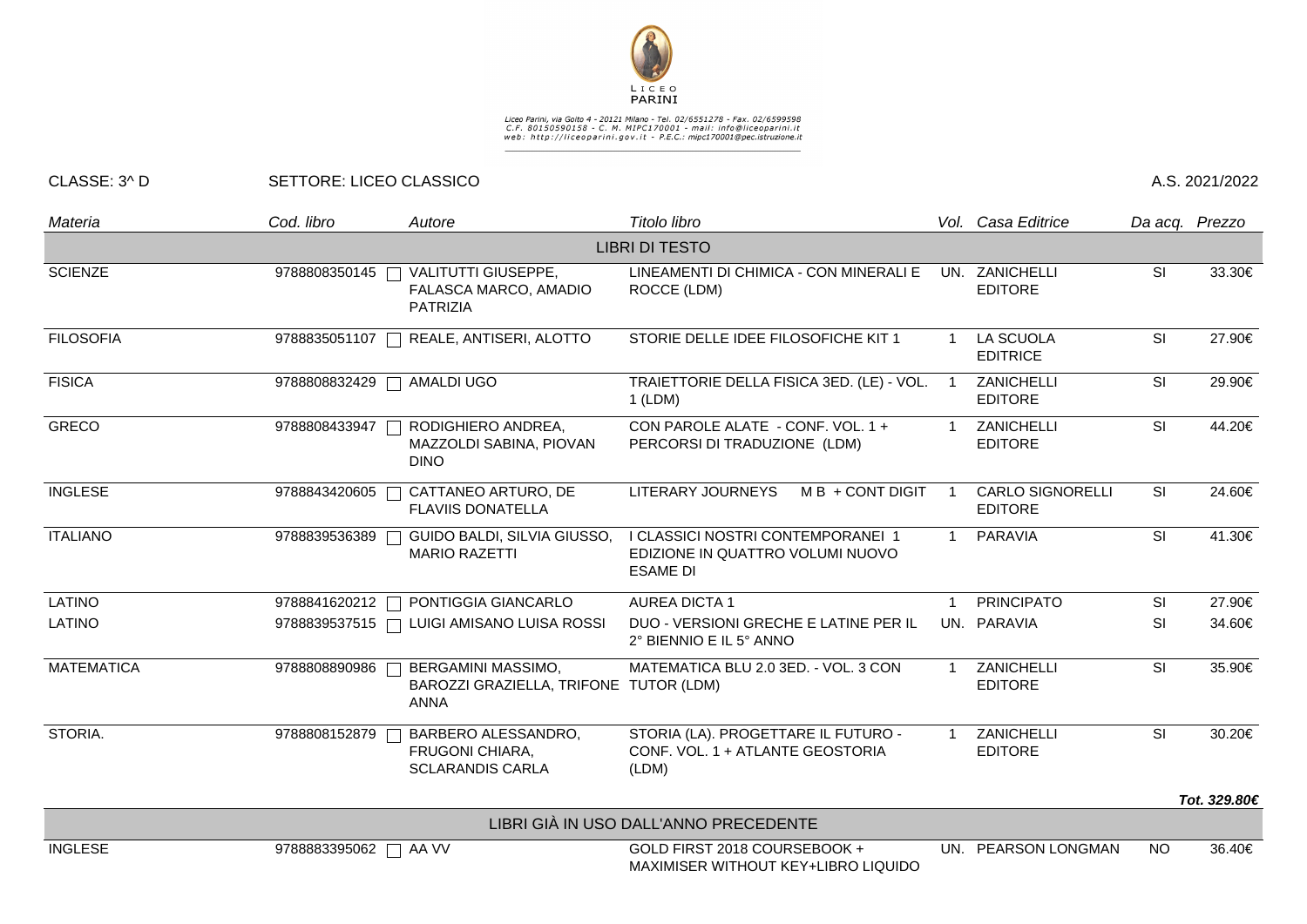

Liceo Parini, via Goito 4 - 20121 Milano - Tel. 02/6551278 - Fax. 02/6599598<br>C.F. 80150590158 - C. M. MIPC170001 - mail: info@liceoparini.it<br>web: http://liceoparini.gov.it - P.E.C.: mipc170001@pec.istruzione.it

## CLASSE: 3^ D SETTORE: LICEO CLASSICO A.S. 2021/2022

| Materia           | Cod. libro                 | Autore                                                                          | Titolo libro                                                                             |                         | Vol. Casa Editrice                        | Da acq. Prezzo |              |
|-------------------|----------------------------|---------------------------------------------------------------------------------|------------------------------------------------------------------------------------------|-------------------------|-------------------------------------------|----------------|--------------|
|                   |                            |                                                                                 | <b>LIBRI DI TESTO</b>                                                                    |                         |                                           |                |              |
| <b>SCIENZE</b>    |                            | 9788808350145   VALITUTTI GIUSEPPE,<br>FALASCA MARCO, AMADIO<br><b>PATRIZIA</b> | LINEAMENTI DI CHIMICA - CON MINERALI E<br>ROCCE (LDM)                                    |                         | UN. ZANICHELLI<br><b>EDITORE</b>          | SI             | 33.30€       |
| <b>FILOSOFIA</b>  |                            | 9788835051107   REALE, ANTISERI, ALOTTO                                         | STORIE DELLE IDEE FILOSOFICHE KIT 1                                                      | -1                      | LA SCUOLA<br><b>EDITRICE</b>              | SI             | 27.90€       |
| <b>FISICA</b>     | 9788808832429   AMALDI UGO |                                                                                 | TRAIETTORIE DELLA FISICA 3ED. (LE) - VOL.<br>$1$ (LDM)                                   |                         | ZANICHELLI<br><b>EDITORE</b>              | SI             | 29.90€       |
| <b>GRECO</b>      | 9788808433947              | RODIGHIERO ANDREA,<br>MAZZOLDI SABINA, PIOVAN<br><b>DINO</b>                    | CON PAROLE ALATE - CONF. VOL. 1 +<br>PERCORSI DI TRADUZIONE (LDM)                        |                         | ZANICHELLI<br><b>EDITORE</b>              | <b>SI</b>      | 44.20€       |
| <b>INGLESE</b>    | 9788843420605              | CATTANEO ARTURO, DE<br><b>FLAVIIS DONATELLA</b>                                 | <b>LITERARY JOURNEYS</b><br>M B + CONT DIGIT                                             |                         | <b>CARLO SIGNORELLI</b><br><b>EDITORE</b> | SI             | 24.60€       |
| <b>ITALIANO</b>   | 9788839536389              | GUIDO BALDI, SILVIA GIUSSO,<br><b>MARIO RAZETTI</b>                             | I CLASSICI NOSTRI CONTEMPORANEI 1<br>EDIZIONE IN QUATTRO VOLUMI NUOVO<br><b>ESAME DI</b> | $\overline{1}$          | <b>PARAVIA</b>                            | SI             | 41.30€       |
| <b>LATINO</b>     |                            | 9788841620212   PONTIGGIA GIANCARLO                                             | <b>AUREA DICTA 1</b>                                                                     | $\overline{\mathbf{1}}$ | <b>PRINCIPATO</b>                         | SI             | 27.90€       |
| <b>LATINO</b>     |                            | 9788839537515 □ LUIGI AMISANO LUISA ROSSI                                       | DUO - VERSIONI GRECHE E LATINE PER IL<br>2° BIENNIO E IL 5° ANNO                         |                         | UN. PARAVIA                               | SI             | 34.60€       |
| <b>MATEMATICA</b> | 9788808890986              | <b>BERGAMINI MASSIMO,</b><br>BAROZZI GRAZIELLA, TRIFONE TUTOR (LDM)<br>ANNA     | MATEMATICA BLU 2.0 3ED. - VOL. 3 CON                                                     |                         | ZANICHELLI<br><b>EDITORE</b>              | SI             | 35.90€       |
| STORIA.           | 9788808152879              | BARBERO ALESSANDRO,<br><b>FRUGONI CHIARA,</b><br><b>SCLARANDIS CARLA</b>        | STORIA (LA). PROGETTARE IL FUTURO -<br>CONF. VOL. 1 + ATLANTE GEOSTORIA<br>(LDM)         |                         | ZANICHELLI<br><b>EDITORE</b>              | SI             | 30.20€       |
|                   |                            |                                                                                 |                                                                                          |                         |                                           |                | Tot. 329.80€ |
|                   |                            |                                                                                 | LIBRI GIÀ IN USO DALL'ANNO PRECEDENTE                                                    |                         |                                           |                |              |
| <b>INGLESE</b>    | 9788883395062 □ AA VV      |                                                                                 | GOLD FIRST 2018 COURSEBOOK +<br>MAXIMISER WITHOUT KEY+LIBRO LIQUIDO                      | UN.                     | PEARSON LONGMAN                           | <b>NO</b>      | 36.40€       |